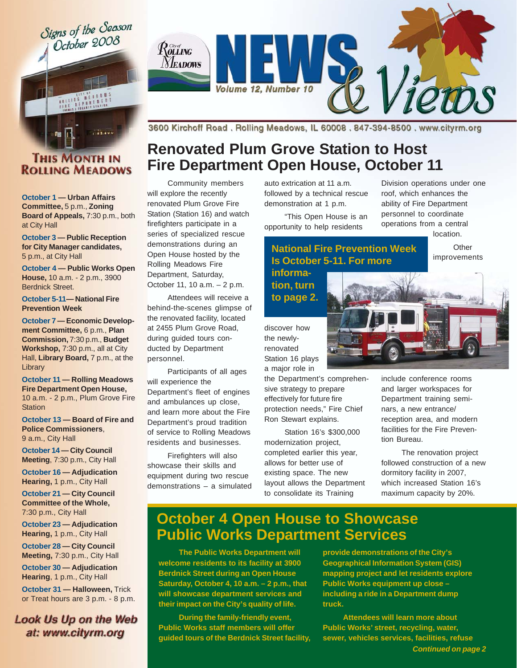Signs of the Season October 2008



 $\mathcal{R}^{\alpha\beta}_{\text{OLING}}$ **NEADOWS** Volume 12, Number 10

### **THIS MONTH IN ROLLING MEADOWS**

**October 1 — Urban Affairs Committee,** 5 p.m., **Zoning Board of Appeals,** 7:30 p.m., both at City Hall

**October 3 — Public Reception for City Manager candidates,** 5 p.m., at City Hall

**October 4 — Public Works Open House,** 10 a.m. - 2 p.m., 3900 Berdnick Street.

#### **October 5-11— National Fire Prevention Week**

**October 7 — Economic Development Committee,** 6 p.m., **Plan Commission,** 7:30 p.m., **Budget Workshop,** 7:30 p.m., all at City Hall, Library Board, 7 p.m., at the **Library** 

**October 11 — Rolling Meadows Fire Department Open House,** 10 a.m. - 2 p.m., Plum Grove Fire **Station** 

**October 13 — Board of Fire and Police Commissioners**, 9 a.m., City Hall

**October 14 — City Council Meeting**, 7:30 p.m., City Hall

**October 16 — Adjudication Hearing,** 1 p.m., City Hall

**October 21 — City Council Committee of the Whole,** 7:30 p.m., City Hall

**October 23 — Adjudication Hearing,** 1 p.m., City Hall

**October 28 — City Council Meeting,** 7:30 p.m., City Hall

**October 30 — Adjudication Hearing**, 1 p.m., City Hall

**October 31 — Halloween,** Trick or Treat hours are 3 p.m. - 8 p.m.

**Look Us Up on the Web** at: www.cityrm.org

3600 Kirchoff Road. Rolling Meadows, IL 60008. 847-394-8500. www.cityrm.org

# **Renovated Plum Grove Station to Host Fire Department Open House, October 11**

Community members will explore the recently renovated Plum Grove Fire Station (Station 16) and watch firefighters participate in a series of specialized rescue demonstrations during an Open House hosted by the Rolling Meadows Fire Department, Saturday, October 11, 10 a.m. – 2 p.m.

Attendees will receive a behind-the-scenes glimpse of the renovated facility, located at 2455 Plum Grove Road, during guided tours conducted by Department personnel.

Participants of all ages will experience the Department's fleet of engines and ambulances up close, and learn more about the Fire Department's proud tradition of service to Rolling Meadows residents and businesses.

Firefighters will also showcase their skills and equipment during two rescue demonstrations – a simulated auto extrication at 11 a.m. followed by a technical rescue demonstration at 1 p.m.

"This Open House is an opportunity to help residents

Division operations under one roof, which enhances the ability of Fire Department personnel to coordinate operations from a central location.

> **Other** improvements

### **National Fire Prevention Week Is October 5-11. For more informa-**

**tion, turn to page 2.**

discover how the newlyrenovated Station 16 plays a major role in

the Department's comprehensive strategy to prepare effectively for future fire protection needs," Fire Chief Ron Stewart explains.

Station 16's \$300,000 modernization project, completed earlier this year, allows for better use of existing space. The new layout allows the Department to consolidate its Training



include conference rooms and larger workspaces for Department training seminars, a new entrance/ reception area, and modern facilities for the Fire Prevention Bureau.

The renovation project followed construction of a new dormitory facility in 2007, which increased Station 16's maximum capacity by 20%.

# **October 4 Open House to Showcase Public Works Department Services**

**The Public Works Department will welcome residents to its facility at 3900 Berdnick Street during an Open House Saturday, October 4, 10 a.m. – 2 p.m., that will showcase department services and their impact on the City's quality of life.**

**During the family-friendly event, Public Works staff members will offer guided tours of the Berdnick Street facility,** **provide demonstrations of the City's Geographical Information System (GIS) mapping project and let residents explore Public Works equipment up close – including a ride in a Department dump truck.**

**Attendees will learn more about Public Works' street, recycling, water, sewer, vehicles services, facilities, refuse** *Continued on page 2*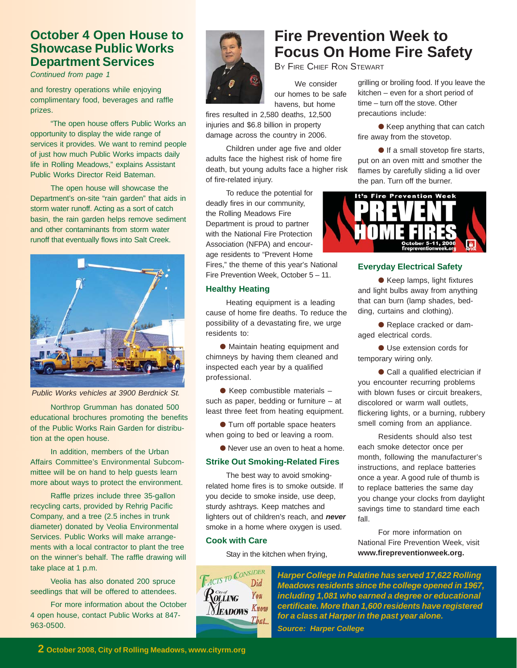### **October 4 Open House to Showcase Public Works Department Services**

*Continued from page 1*

and forestry operations while enjoying complimentary food, beverages and raffle prizes.

"The open house offers Public Works an opportunity to display the wide range of services it provides. We want to remind people of just how much Public Works impacts daily life in Rolling Meadows," explains Assistant Public Works Director Reid Bateman.

The open house will showcase the Department's on-site "rain garden" that aids in storm water runoff. Acting as a sort of catch basin, the rain garden helps remove sediment and other contaminants from storm water runoff that eventually flows into Salt Creek.



*Public Works vehicles at 3900 Berdnick St.*

Northrop Grumman has donated 500 educational brochures promoting the benefits of the Public Works Rain Garden for distribution at the open house.

In addition, members of the Urban Affairs Committee's Environmental Subcommittee will be on hand to help guests learn more about ways to protect the environment.

Raffle prizes include three 35-gallon recycling carts, provided by Rehrig Pacific Company, and a tree (2.5 inches in trunk diameter) donated by Veolia Environmental Services. Public Works will make arrangements with a local contractor to plant the tree on the winner's behalf. The raffle drawing will take place at 1 p.m.

Veolia has also donated 200 spruce seedlings that will be offered to attendees.

For more information about the October 4 open house, contact Public Works at 847- 963-0500.



BY FIRE CHIEF RON STEWART grilling or broiling food. If you leave the

our homes to be safe havens, but home

fires resulted in 2,580 deaths, 12,500 injuries and \$6.8 billion in property damage across the country in 2006.

Children under age five and older adults face the highest risk of home fire death, but young adults face a higher risk of fire-related injury.

To reduce the potential for deadly fires in our community, the Rolling Meadows Fire Department is proud to partner with the National Fire Protection Association (NFPA) and encourage residents to "Prevent Home

Fires," the theme of this year's National Fire Prevention Week, October 5 – 11.

#### **Healthy Heating**

Heating equipment is a leading cause of home fire deaths. To reduce the possibility of a devastating fire, we urge residents to:

● Maintain heating equipment and chimneys by having them cleaned and inspected each year by a qualified professional.

 $\bullet$  Keep combustible materials  $$ such as paper, bedding or furniture – at least three feet from heating equipment.

● Turn off portable space heaters when going to bed or leaving a room.

● Never use an oven to heat a home.

#### **Strike Out Smoking-Related Fires**

The best way to avoid smokingrelated home fires is to smoke outside. If you decide to smoke inside, use deep, sturdy ashtrays. Keep matches and lighters out of children's reach, and *never* smoke in a home where oxygen is used.

#### **Cook with Care**

Stay in the kitchen when frying,



# **Fire Prevention Week to Focus On Home Fire Safety**

We consider

kitchen – even for a short period of time – turn off the stove. Other precautions include:

● Keep anything that can catch fire away from the stovetop.

● If a small stovetop fire starts, put on an oven mitt and smother the flames by carefully sliding a lid over the pan. Turn off the burner.



### **Everyday Electrical Safety**

● Keep lamps, light fixtures and light bulbs away from anything that can burn (lamp shades, bedding, curtains and clothing).

● Replace cracked or damaged electrical cords.

● Use extension cords for temporary wiring only.

● Call a qualified electrician if you encounter recurring problems with blown fuses or circuit breakers, discolored or warm wall outlets, flickering lights, or a burning, rubbery smell coming from an appliance.

Residents should also test each smoke detector once per month, following the manufacturer's instructions, and replace batteries once a year. A good rule of thumb is to replace batteries the same day you change your clocks from daylight savings time to standard time each fall.

For more information on National Fire Prevention Week, visit **www.firepreventionweek.org.**

*Harper College in Palatine has served 17,622 Rolling Meadows residents since the college opened in 1967, including 1,081 who earned a degree or educational certificate. More than 1,600 residents have registered for a class at Harper in the past year alone. Source: Harper College*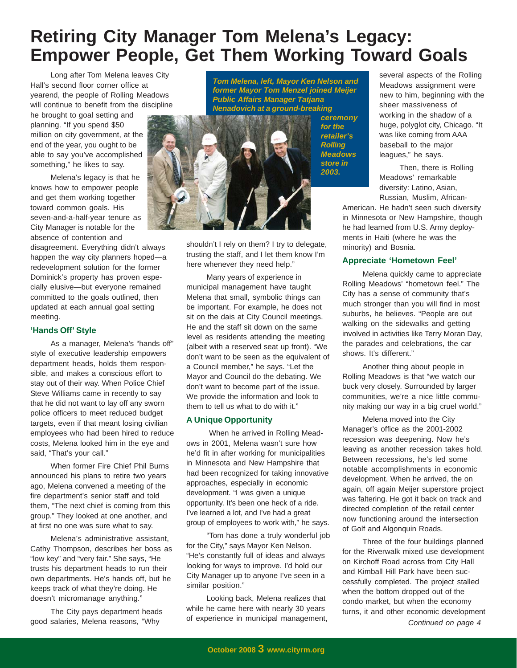# **Retiring City Manager Tom Melena's Legacy: Empower People, Get Them Working Toward Goals**

Long after Tom Melena leaves City Hall's second floor corner office at yearend, the people of Rolling Meadows will continue to benefit from the discipline

he brought to goal setting and planning. "If you spend \$50 million on city government, at the end of the year, you ought to be able to say you've accomplished something," he likes to say.

Melena's legacy is that he knows how to empower people and get them working together toward common goals. His seven-and-a-half-year tenure as City Manager is notable for the absence of contention and

disagreement. Everything didn't always happen the way city planners hoped—a redevelopment solution for the former Dominick's property has proven especially elusive—but everyone remained committed to the goals outlined, then updated at each annual goal setting meeting.

#### **'Hands Off' Style**

As a manager, Melena's "hands off" style of executive leadership empowers department heads, holds them responsible, and makes a conscious effort to stay out of their way. When Police Chief Steve Williams came in recently to say that he did not want to lay off any sworn police officers to meet reduced budget targets, even if that meant losing civilian employees who had been hired to reduce costs, Melena looked him in the eye and said, "That's your call."

When former Fire Chief Phil Burns announced his plans to retire two years ago, Melena convened a meeting of the fire department's senior staff and told them, "The next chief is coming from this group." They looked at one another, and at first no one was sure what to say.

Melena's administrative assistant, Cathy Thompson, describes her boss as "low key" and "very fair." She says, "He trusts his department heads to run their own departments. He's hands off, but he keeps track of what they're doing. He doesn't micromanage anything."

The City pays department heads good salaries, Melena reasons, "Why

*Tom Melena, left, Mayor Ken Nelson and former Mayor Tom Menzel joined Meijer Public Affairs Manager Tatjana Nenadovich at a ground-breaking*



shouldn't I rely on them? I try to delegate, trusting the staff, and I let them know I'm here whenever they need help."

Many years of experience in municipal management have taught Melena that small, symbolic things can be important. For example, he does not sit on the dais at City Council meetings. He and the staff sit down on the same level as residents attending the meeting (albeit with a reserved seat up front). "We don't want to be seen as the equivalent of a Council member," he says. "Let the Mayor and Council do the debating. We don't want to become part of the issue. We provide the information and look to them to tell us what to do with it."

#### **A Unique Opportunity**

 When he arrived in Rolling Meadows in 2001, Melena wasn't sure how he'd fit in after working for municipalities in Minnesota and New Hampshire that had been recognized for taking innovative approaches, especially in economic development. "I was given a unique opportunity. It's been one heck of a ride. I've learned a lot, and I've had a great group of employees to work with," he says.

"Tom has done a truly wonderful job for the City," says Mayor Ken Nelson. "He's constantly full of ideas and always looking for ways to improve. I'd hold our City Manager up to anyone I've seen in a similar position."

Looking back, Melena realizes that while he came here with nearly 30 years of experience in municipal management, Meadows assignment were new to him, beginning with the sheer massiveness of working in the shadow of a huge, polyglot city, Chicago. "It was like coming from AAA baseball to the major leagues," he says.

Then, there is Rolling Meadows' remarkable diversity: Latino, Asian, Russian, Muslim, African-

several aspects of the Rolling

American. He hadn't seen such diversity in Minnesota or New Hampshire, though he had learned from U.S. Army deployments in Haiti (where he was the minority) and Bosnia.

#### **Appreciate 'Hometown Feel'**

Melena quickly came to appreciate Rolling Meadows' "hometown feel." The City has a sense of community that's much stronger than you will find in most suburbs, he believes. "People are out walking on the sidewalks and getting involved in activities like Terry Moran Day, the parades and celebrations, the car shows. It's different."

Another thing about people in Rolling Meadows is that "we watch our buck very closely. Surrounded by larger communities, we're a nice little community making our way in a big cruel world."

Melena moved into the City Manager's office as the 2001-2002 recession was deepening. Now he's leaving as another recession takes hold. Between recessions, he's led some notable accomplishments in economic development. When he arrived, the on again, off again Meijer superstore project was faltering. He got it back on track and directed completion of the retail center now functioning around the intersection of Golf and Algonquin Roads.

Three of the four buildings planned for the Riverwalk mixed use development on Kirchoff Road across from City Hall and Kimball Hill Park have been successfully completed. The project stalled when the bottom dropped out of the condo market, but when the economy turns, it and other economic development *Continued on page 4*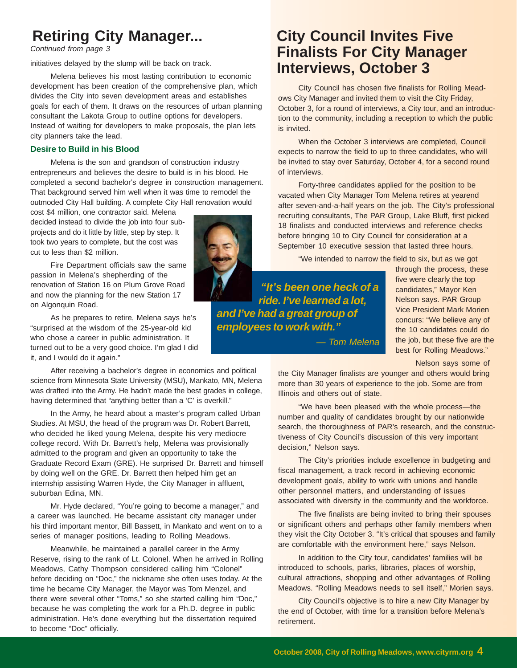# **Retiring City Manager...**

*Continued from page 3*

initiatives delayed by the slump will be back on track.

Melena believes his most lasting contribution to economic development has been creation of the comprehensive plan, which divides the City into seven development areas and establishes goals for each of them. It draws on the resources of urban planning consultant the Lakota Group to outline options for developers. Instead of waiting for developers to make proposals, the plan lets city planners take the lead.

#### **Desire to Build in his Blood**

Melena is the son and grandson of construction industry entrepreneurs and believes the desire to build is in his blood. He completed a second bachelor's degree in construction management. That background served him well when it was time to remodel the outmoded City Hall building. A complete City Hall renovation would

cost \$4 million, one contractor said. Melena decided instead to divide the job into four subprojects and do it little by little, step by step. It took two years to complete, but the cost was cut to less than \$2 million.

Fire Department officials saw the same passion in Melena's shepherding of the renovation of Station 16 on Plum Grove Road and now the planning for the new Station 17 on Algonquin Road.

As he prepares to retire, Melena says he's "surprised at the wisdom of the 25-year-old kid who chose a career in public administration. It turned out to be a very good choice. I'm glad I did it, and I would do it again."

After receiving a bachelor's degree in economics and political science from Minnesota State University (MSU), Mankato, MN, Melena was drafted into the Army. He hadn't made the best grades in college, having determined that "anything better than a 'C' is overkill."

In the Army, he heard about a master's program called Urban Studies. At MSU, the head of the program was Dr. Robert Barrett, who decided he liked young Melena, despite his very mediocre college record. With Dr. Barrett's help, Melena was provisionally admitted to the program and given an opportunity to take the Graduate Record Exam (GRE). He surprised Dr. Barrett and himself by doing well on the GRE. Dr. Barrett then helped him get an internship assisting Warren Hyde, the City Manager in affluent, suburban Edina, MN.

Mr. Hyde declared, "You're going to become a manager," and a career was launched. He became assistant city manager under his third important mentor, Bill Bassett, in Mankato and went on to a series of manager positions, leading to Rolling Meadows.

Meanwhile, he maintained a parallel career in the Army Reserve, rising to the rank of Lt. Colonel. When he arrived in Rolling Meadows, Cathy Thompson considered calling him "Colonel" before deciding on "Doc," the nickname she often uses today. At the time he became City Manager, the Mayor was Tom Menzel, and there were several other "Toms," so she started calling him "Doc," because he was completing the work for a Ph.D. degree in public administration. He's done everything but the dissertation required to become "Doc" officially.

# **City Council Invites Five Finalists For City Manager Interviews, October 3**

City Council has chosen five finalists for Rolling Meadows City Manager and invited them to visit the City Friday, October 3, for a round of interviews, a City tour, and an introduction to the community, including a reception to which the public is invited.

When the October 3 interviews are completed, Council expects to narrow the field to up to three candidates, who will be invited to stay over Saturday, October 4, for a second round of interviews.

Forty-three candidates applied for the position to be vacated when City Manager Tom Melena retires at yearend after seven-and-a-half years on the job. The City's professional recruiting consultants, The PAR Group, Lake Bluff, first picked 18 finalists and conducted interviews and reference checks before bringing 10 to City Council for consideration at a September 10 executive session that lasted three hours.

"We intended to narrow the field to six, but as we got

 *"It's been one heck of a ride. I've learned a lot, and I've had a great group of employees to work with."*

*— Tom Melena*

through the process, these five were clearly the top candidates," Mayor Ken Nelson says. PAR Group Vice President Mark Morien concurs: "We believe any of the 10 candidates could do the job, but these five are the best for Rolling Meadows."

Nelson says some of

the City Manager finalists are younger and others would bring more than 30 years of experience to the job. Some are from Illinois and others out of state.

"We have been pleased with the whole process—the number and quality of candidates brought by our nationwide search, the thoroughness of PAR's research, and the constructiveness of City Council's discussion of this very important decision," Nelson says.

The City's priorities include excellence in budgeting and fiscal management, a track record in achieving economic development goals, ability to work with unions and handle other personnel matters, and understanding of issues associated with diversity in the community and the workforce.

The five finalists are being invited to bring their spouses or significant others and perhaps other family members when they visit the City October 3. "It's critical that spouses and family are comfortable with the environment here," says Nelson.

In addition to the City tour, candidates' families will be introduced to schools, parks, libraries, places of worship, cultural attractions, shopping and other advantages of Rolling Meadows. "Rolling Meadows needs to sell itself," Morien says.

City Council's objective is to hire a new City Manager by the end of October, with time for a transition before Melena's retirement.

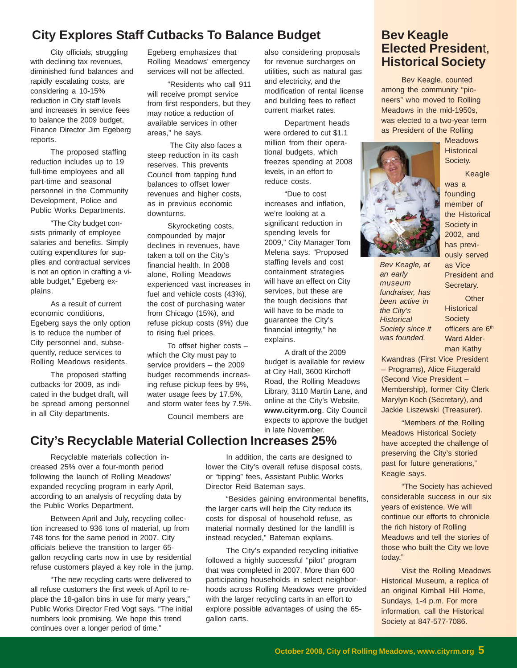### **City Explores Staff Cutbacks To Balance Budget**

City officials, struggling with declining tax revenues, diminished fund balances and rapidly escalating costs, are considering a 10-15% reduction in City staff levels and increases in service fees to balance the 2009 budget, Finance Director Jim Egeberg reports.

The proposed staffing reduction includes up to 19 full-time employees and all part-time and seasonal personnel in the Community Development, Police and Public Works Departments.

"The City budget consists primarily of employee salaries and benefits. Simply cutting expenditures for supplies and contractual services is not an option in crafting a viable budget," Egeberg explains.

As a result of current economic conditions, Egeberg says the only option is to reduce the number of City personnel and, subsequently, reduce services to Rolling Meadows residents.

The proposed staffing cutbacks for 2009, as indicated in the budget draft, will be spread among personnel in all City departments.

Egeberg emphasizes that Rolling Meadows' emergency services will not be affected.

"Residents who call 911 will receive prompt service from first responders, but they may notice a reduction of available services in other areas," he says.

 The City also faces a steep reduction in its cash reserves. This prevents Council from tapping fund balances to offset lower revenues and higher costs, as in previous economic downturns.

Skyrocketing costs, compounded by major declines in revenues, have taken a toll on the City's financial health. In 2008 alone, Rolling Meadows experienced vast increases in fuel and vehicle costs (43%), the cost of purchasing water from Chicago (15%), and refuse pickup costs (9%) due to rising fuel prices.

To offset higher costs – which the City must pay to service providers – the 2009 budget recommends increasing refuse pickup fees by 9%, water usage fees by 17.5%, and storm water fees by 7.5%.

Council members are

also considering proposals for revenue surcharges on utilities, such as natural gas and electricity, and the modification of rental license and building fees to reflect current market rates.

Department heads were ordered to cut \$1.1 million from their operational budgets, which freezes spending at 2008 levels, in an effort to reduce costs.

"Due to cost increases and inflation, we're looking at a significant reduction in spending levels for 2009," City Manager Tom Melena says. "Proposed staffing levels and cost containment strategies will have an effect on City services, but these are the tough decisions that will have to be made to guarantee the City's financial integrity," he explains.

A draft of the 2009 budget is available for review at City Hall, 3600 Kirchoff Road, the Rolling Meadows Library, 3110 Martin Lane, and online at the City's Website, **www.cityrm.org**. City Council expects to approve the budget in late November.

## **City's Recyclable Material Collection Increases 25%**

Recyclable materials collection increased 25% over a four-month period following the launch of Rolling Meadows' expanded recycling program in early April, according to an analysis of recycling data by the Public Works Department.

Between April and July, recycling collection increased to 936 tons of material, up from 748 tons for the same period in 2007. City officials believe the transition to larger 65 gallon recycling carts now in use by residential refuse customers played a key role in the jump.

"The new recycling carts were delivered to all refuse customers the first week of April to replace the 18-gallon bins in use for many years," Public Works Director Fred Vogt says. "The initial numbers look promising. We hope this trend continues over a longer period of time."

In addition, the carts are designed to lower the City's overall refuse disposal costs, or "tipping" fees, Assistant Public Works Director Reid Bateman says.

"Besides gaining environmental benefits, the larger carts will help the City reduce its costs for disposal of household refuse, as material normally destined for the landfill is instead recycled," Bateman explains.

The City's expanded recycling initiative followed a highly successful "pilot" program that was completed in 2007. More than 600 participating households in select neighborhoods across Rolling Meadows were provided with the larger recycling carts in an effort to explore possible advantages of using the 65 gallon carts.

### **Bev Keagle Elected Presiden**t, **Historical Society**

Bev Keagle, counted among the community "pioneers" who moved to Rolling Meadows in the mid-1950s, was elected to a two-year term as President of the Rolling



Keagle was a founding member of the Historical Society in 2002, and has previously served as Vice President and

Meadows **Historical** Society.

*an early museum fundraiser, has been active in the City's Historical Society since it was founded.*

*Bev Keagle, at*

**Other Historical Society** officers are 6<sup>th</sup> Ward Alderman Kathy

Secretary.

Kwandras (First Vice President – Programs), Alice Fitzgerald (Second Vice President – Membership), former City Clerk Marylyn Koch (Secretary), and Jackie Liszewski (Treasurer).

"Members of the Rolling Meadows Historical Society have accepted the challenge of preserving the City's storied past for future generations," Keagle says.

"The Society has achieved considerable success in our six years of existence. We will continue our efforts to chronicle the rich history of Rolling Meadows and tell the stories of those who built the City we love today."

Visit the Rolling Meadows Historical Museum, a replica of an original Kimball Hill Home, Sundays, 1-4 p.m. For more information, call the Historical Society at 847-577-7086.